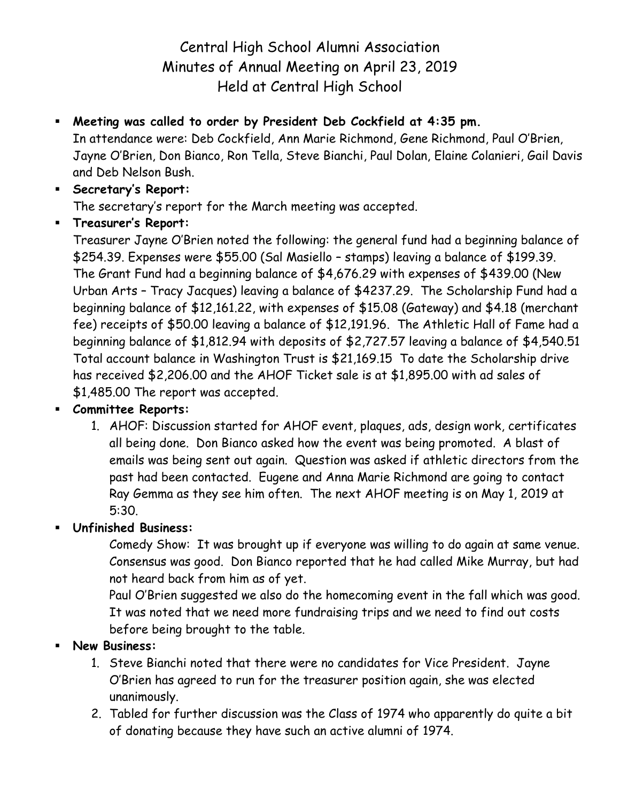# Central High School Alumni Association Minutes of Annual Meeting on April 23, 2019 Held at Central High School

#### **Meeting was called to order by President Deb Cockfield at 4:35 pm.**

In attendance were: Deb Cockfield, Ann Marie Richmond, Gene Richmond, Paul O'Brien, Jayne O'Brien, Don Bianco, Ron Tella, Steve Bianchi, Paul Dolan, Elaine Colanieri, Gail Davis and Deb Nelson Bush.

## **Secretary's Report:** The secretary's report for the March meeting was accepted.

**Treasurer's Report:**

Treasurer Jayne O'Brien noted the following: the general fund had a beginning balance of \$254.39. Expenses were \$55.00 (Sal Masiello – stamps) leaving a balance of \$199.39. The Grant Fund had a beginning balance of \$4,676.29 with expenses of \$439.00 (New Urban Arts – Tracy Jacques) leaving a balance of \$4237.29. The Scholarship Fund had a beginning balance of \$12,161.22, with expenses of \$15.08 (Gateway) and \$4.18 (merchant fee) receipts of \$50.00 leaving a balance of \$12,191.96. The Athletic Hall of Fame had a beginning balance of \$1,812.94 with deposits of \$2,727.57 leaving a balance of \$4,540.51 Total account balance in Washington Trust is \$21,169.15 To date the Scholarship drive has received \$2,206.00 and the AHOF Ticket sale is at \$1,895.00 with ad sales of \$1,485.00 The report was accepted.

#### **Committee Reports:**

1. AHOF: Discussion started for AHOF event, plaques, ads, design work, certificates all being done. Don Bianco asked how the event was being promoted. A blast of emails was being sent out again. Question was asked if athletic directors from the past had been contacted. Eugene and Anna Marie Richmond are going to contact Ray Gemma as they see him often. The next AHOF meeting is on May 1, 2019 at 5:30.

### **Unfinished Business:**

Comedy Show: It was brought up if everyone was willing to do again at same venue. Consensus was good. Don Bianco reported that he had called Mike Murray, but had not heard back from him as of yet.

Paul O'Brien suggested we also do the homecoming event in the fall which was good. It was noted that we need more fundraising trips and we need to find out costs before being brought to the table.

#### **New Business:**

- 1. Steve Bianchi noted that there were no candidates for Vice President. Jayne O'Brien has agreed to run for the treasurer position again, she was elected unanimously.
- 2. Tabled for further discussion was the Class of 1974 who apparently do quite a bit of donating because they have such an active alumni of 1974.